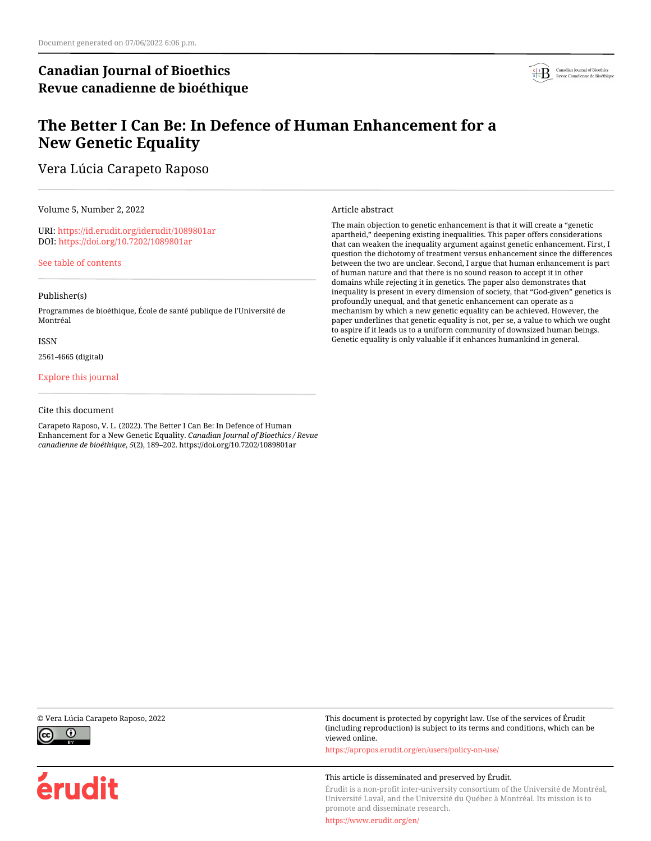# **Canadian Journal of Bioethics Revue canadienne de bioéthique**



# **The Better I Can Be: In Defence of Human Enhancement for a New Genetic Equality**

Vera Lúcia Carapeto Raposo

Volume 5, Number 2, 2022

URI:<https://id.erudit.org/iderudit/1089801ar> DOI:<https://doi.org/10.7202/1089801ar>

[See table of contents](https://www.erudit.org/en/journals/bioethics/2022-v5-n2-bioethics07048/)

#### Publisher(s)

Programmes de bioéthique, École de santé publique de l'Université de Montréal

#### ISSN

2561-4665 (digital)

[Explore this journal](https://www.erudit.org/en/journals/bioethics/)

#### Cite this document

Carapeto Raposo, V. L. (2022). The Better I Can Be: In Defence of Human Enhancement for a New Genetic Equality. *Canadian Journal of Bioethics / Revue canadienne de bioéthique*, *5*(2), 189–202. https://doi.org/10.7202/1089801ar

Article abstract

The main objection to genetic enhancement is that it will create a "genetic apartheid," deepening existing inequalities. This paper offers considerations that can weaken the inequality argument against genetic enhancement. First, I question the dichotomy of treatment versus enhancement since the differences between the two are unclear. Second, I argue that human enhancement is part of human nature and that there is no sound reason to accept it in other domains while rejecting it in genetics. The paper also demonstrates that inequality is present in every dimension of society, that "God-given" genetics is profoundly unequal, and that genetic enhancement can operate as a mechanism by which a new genetic equality can be achieved. However, the paper underlines that genetic equality is not, per se, a value to which we ought to aspire if it leads us to a uniform community of downsized human beings. Genetic equality is only valuable if it enhances humankind in general.



érudit

© Vera Lúcia Carapeto Raposo, 2022 This document is protected by copyright law. Use of the services of Érudit (including reproduction) is subject to its terms and conditions, which can be viewed online.

<https://apropos.erudit.org/en/users/policy-on-use/>

#### This article is disseminated and preserved by Érudit.

Érudit is a non-profit inter-university consortium of the Université de Montréal, Université Laval, and the Université du Québec à Montréal. Its mission is to promote and disseminate research.

<https://www.erudit.org/en/>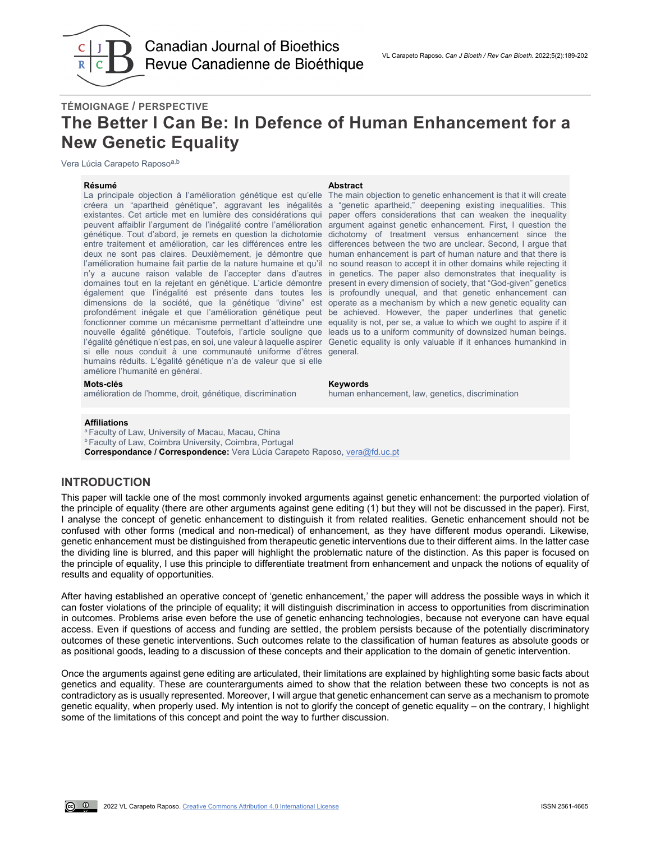

# **TÉMOIGNAGE / PERSPECTIVE The Better I Can Be: In Defence of Human Enhancement for a New Genetic Equality**

Vera Lúcia Carapeto Raposo<sup>a,b</sup>

La principale objection à l'amélioration génétique est qu'elle The main objection to genetic enhancement is that it will create créera un "apartheid génétique", aggravant les inégalités a "genetic apartheid," deepening existing inequalities. This existantes. Cet article met en lumière des considérations qui paper offers considerations that can weaken the inequality peuvent affaiblir l'argument de l'inégalité contre l'amélioration argument against genetic enhancement. First, I question the génétique. Tout d'abord, je remets en question la dichotomie dichotomy of treatment versus enhancement since the entre traitement et amélioration, car les différences entre les differences between the two are unclear. Second, I argue that deux ne sont pas claires. Deuxièmement, je démontre que human enhancement is part of human nature and that there is l'amélioration humaine fait partie de la nature humaine et qu'il no sound reason to accept it in other domains while rejecting it n'y a aucune raison valable de l'accepter dans d'autres in genetics. The paper also demonstrates that inequality is domaines tout en la rejetant en génétique. L'article démontre present in every dimension of society, that "God-given" genetics également que l'inégalité est présente dans toutes les is profoundly unequal, and that genetic enhancement can dimensions de la société, que la génétique "divine" est operate as a mechanism by which a new genetic equality can profondément inégale et que l'amélioration génétique peut be achieved. However, the paper underlines that genetic fonctionner comme un mécanisme permettant d'atteindre une equality is not, per se, a value to which we ought to aspire if it nouvelle égalité génétique. Toutefois, l'article souligne que leads us to a uniform community of downsized human beings. l'égalité génétique n'est pas, en soi, une valeur à laquelle aspirer Genetic equality is only valuable if it enhances humankind in si elle nous conduit à une communauté uniforme d'êtres general. humains réduits. L'égalité génétique n'a de valeur que si elle améliore l'humanité en général.

#### **Résumé Abstract**

#### **Mots-clés Keywords**

amélioration de l'homme, droit, génétique, discrimination human enhancement, law, genetics, discrimination

#### **Affiliations**

<sup>a</sup> Faculty of Law, University of Macau, Macau, China **b Faculty of Law, Coimbra University, Coimbra, Portugal Correspondance / Correspondence:** Vera Lúcia Carapeto Raposo, [vera@fd.uc.pt](mailto:vera@fd.uc.pt)

#### **INTRODUCTION**

This paper will tackle one of the most commonly invoked arguments against genetic enhancement: the purported violation of the principle of equality (there are other arguments against gene editing (1) but they will not be discussed in the paper). First, I analyse the concept of genetic enhancement to distinguish it from related realities. Genetic enhancement should not be confused with other forms (medical and non-medical) of enhancement, as they have different modus operandi. Likewise, genetic enhancement must be distinguished from therapeutic genetic interventions due to their different aims. In the latter case the dividing line is blurred, and this paper will highlight the problematic nature of the distinction. As this paper is focused on the principle of equality, I use this principle to differentiate treatment from enhancement and unpack the notions of equality of results and equality of opportunities.

After having established an operative concept of 'genetic enhancement,' the paper will address the possible ways in which it can foster violations of the principle of equality; it will distinguish discrimination in access to opportunities from discrimination in outcomes. Problems arise even before the use of genetic enhancing technologies, because not everyone can have equal access. Even if questions of access and funding are settled, the problem persists because of the potentially discriminatory outcomes of these genetic interventions. Such outcomes relate to the classification of human features as absolute goods or as positional goods, leading to a discussion of these concepts and their application to the domain of genetic intervention.

Once the arguments against gene editing are articulated, their limitations are explained by highlighting some basic facts about genetics and equality. These are counterarguments aimed to show that the relation between these two concepts is not as contradictory as is usually represented. Moreover, I will argue that genetic enhancement can serve as a mechanism to promote genetic equality, when properly used. My intention is not to glorify the concept of genetic equality – on the contrary, I highlight some of the limitations of this concept and point the way to further discussion.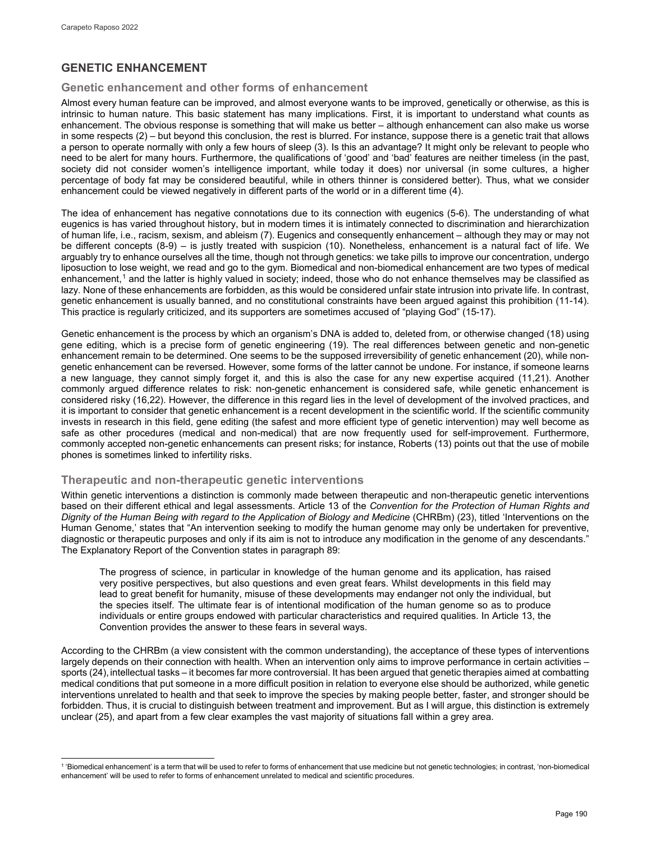# **GENETIC ENHANCEMENT**

#### **Genetic enhancement and other forms of enhancement**

Almost every human feature can be improved, and almost everyone wants to be improved, genetically or otherwise, as this is intrinsic to human nature. This basic statement has many implications. First, it is important to understand what counts as enhancement. The obvious response is something that will make us better – although enhancement can also make us worse in some respects (2) – but beyond this conclusion, the rest is blurred. For instance, suppose there is a genetic trait that allows a person to operate normally with only a few hours of sleep (3). Is this an advantage? It might only be relevant to people who need to be alert for many hours. Furthermore, the qualifications of 'good' and 'bad' features are neither timeless (in the past, society did not consider women's intelligence important, while today it does) nor universal (in some cultures, a higher percentage of body fat may be considered beautiful, while in others thinner is considered better). Thus, what we consider enhancement could be viewed negatively in different parts of the world or in a different time (4).

The idea of enhancement has negative connotations due to its connection with eugenics (5-6). The understanding of what eugenics is has varied throughout history, but in modern times it is intimately connected to discrimination and hierarchization of human life, i.e., racism, sexism, and ableism (7). Eugenics and consequently enhancement – although they may or may not be different concepts (8-9) – is justly treated with suspicion (10). Nonetheless, enhancement is a natural fact of life. We arguably try to enhance ourselves all the time, though not through genetics: we take pills to improve our concentration, undergo liposuction to lose weight, we read and go to the gym. Biomedical and non-biomedical enhancement are two types of medical enhancement,<sup>[1](#page-2-0)</sup> and the latter is highly valued in society; indeed, those who do not enhance themselves may be classified as lazy. None of these enhancements are forbidden, as this would be considered unfair state intrusion into private life. In contrast, genetic enhancement is usually banned, and no constitutional constraints have been argued against this prohibition (11-14). This practice is regularly criticized, and its supporters are sometimes accused of "playing God" (15-17).

Genetic enhancement is the process by which an organism's DNA is added to, deleted from, or otherwise changed (18) using gene editing, which is a precise form of genetic engineering (19). The real differences between genetic and non-genetic enhancement remain to be determined. One seems to be the supposed irreversibility of genetic enhancement (20), while nongenetic enhancement can be reversed. However, some forms of the latter cannot be undone. For instance, if someone learns a new language, they cannot simply forget it, and this is also the case for any new expertise acquired (11,21). Another commonly argued difference relates to risk: non-genetic enhancement is considered safe, while genetic enhancement is considered risky (16,22). However, the difference in this regard lies in the level of development of the involved practices, and it is important to consider that genetic enhancement is a recent development in the scientific world. If the scientific community invests in research in this field, gene editing (the safest and more efficient type of genetic intervention) may well become as safe as other procedures (medical and non-medical) that are now frequently used for self-improvement. Furthermore, commonly accepted non-genetic enhancements can present risks; for instance, Roberts (13) points out that the use of mobile phones is sometimes linked to infertility risks.

### **Therapeutic and non-therapeutic genetic interventions**

Within genetic interventions a distinction is commonly made between therapeutic and non-therapeutic genetic interventions based on their different ethical and legal assessments. Article 13 of the *Convention for the Protection of Human Rights and Dignity of the Human Being with regard to the Application of Biology and Medicine* (CHRBm) (23), titled 'Interventions on the Human Genome,' states that "An intervention seeking to modify the human genome may only be undertaken for preventive, diagnostic or therapeutic purposes and only if its aim is not to introduce any modification in the genome of any descendants." The Explanatory Report of the Convention states in paragraph 89:

The progress of science, in particular in knowledge of the human genome and its application, has raised very positive perspectives, but also questions and even great fears. Whilst developments in this field may lead to great benefit for humanity, misuse of these developments may endanger not only the individual, but the species itself. The ultimate fear is of intentional modification of the human genome so as to produce individuals or entire groups endowed with particular characteristics and required qualities. In Article 13, the Convention provides the answer to these fears in several ways.

According to the CHRBm (a view consistent with the common understanding), the acceptance of these types of interventions largely depends on their connection with health. When an intervention only aims to improve performance in certain activities – sports (24), intellectual tasks – it becomes far more controversial. It has been argued that genetic therapies aimed at combatting medical conditions that put someone in a more difficult position in relation to everyone else should be authorized, while genetic interventions unrelated to health and that seek to improve the species by making people better, faster, and stronger should be forbidden. Thus, it is crucial to distinguish between treatment and improvement. But as I will argue, this distinction is extremely unclear (25), and apart from a few clear examples the vast majority of situations fall within a grey area.

<span id="page-2-0"></span>l <sup>1</sup> 'Biomedical enhancement' is a term that will be used to refer to forms of enhancement that use medicine but not genetic technologies; in contrast, 'non-biomedical enhancement' will be used to refer to forms of enhancement unrelated to medical and scientific procedures.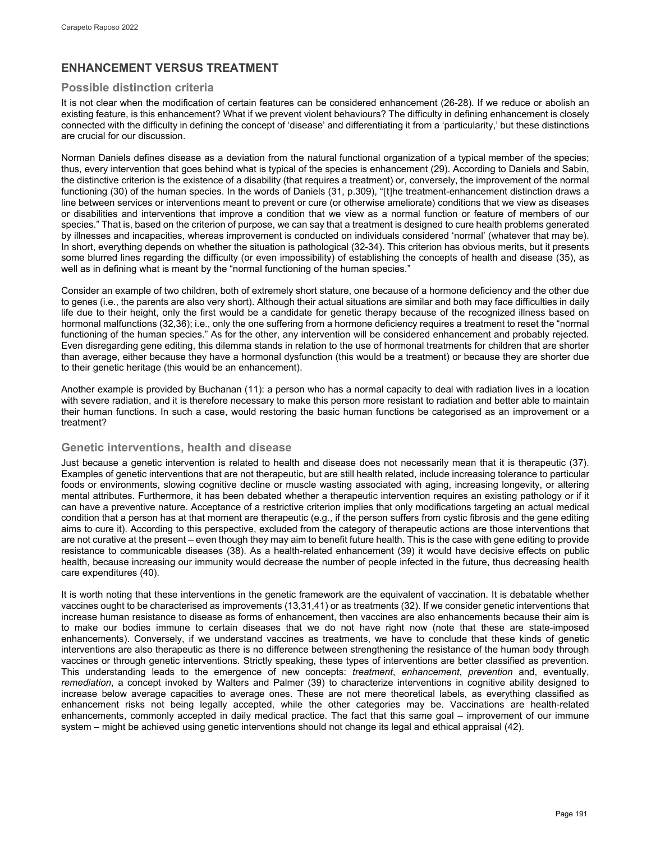# **ENHANCEMENT VERSUS TREATMENT**

#### **Possible distinction criteria**

It is not clear when the modification of certain features can be considered enhancement (26-28). If we reduce or abolish an existing feature, is this enhancement? What if we prevent violent behaviours? The difficulty in defining enhancement is closely connected with the difficulty in defining the concept of 'disease' and differentiating it from a 'particularity,' but these distinctions are crucial for our discussion.

Norman Daniels defines disease as a deviation from the natural functional organization of a typical member of the species; thus, every intervention that goes behind what is typical of the species is enhancement (29). According to Daniels and Sabin, the distinctive criterion is the existence of a disability (that requires a treatment) or, conversely, the improvement of the normal functioning (30) of the human species. In the words of Daniels (31, p.309), "[t]he treatment-enhancement distinction draws a line between services or interventions meant to prevent or cure (or otherwise ameliorate) conditions that we view as diseases or disabilities and interventions that improve a condition that we view as a normal function or feature of members of our species." That is, based on the criterion of purpose, we can say that a treatment is designed to cure health problems generated by illnesses and incapacities, whereas improvement is conducted on individuals considered 'normal' (whatever that may be). In short, everything depends on whether the situation is pathological (32-34). This criterion has obvious merits, but it presents some blurred lines regarding the difficulty (or even impossibility) of establishing the concepts of health and disease (35), as well as in defining what is meant by the "normal functioning of the human species."

Consider an example of two children, both of extremely short stature, one because of a hormone deficiency and the other due to genes (i.e., the parents are also very short). Although their actual situations are similar and both may face difficulties in daily life due to their height, only the first would be a candidate for genetic therapy because of the recognized illness based on hormonal malfunctions (32,36); i.e., only the one suffering from a hormone deficiency requires a treatment to reset the "normal functioning of the human species." As for the other, any intervention will be considered enhancement and probably rejected. Even disregarding gene editing, this dilemma stands in relation to the use of hormonal treatments for children that are shorter than average, either because they have a hormonal dysfunction (this would be a treatment) or because they are shorter due to their genetic heritage (this would be an enhancement).

Another example is provided by Buchanan (11): a person who has a normal capacity to deal with radiation lives in a location with severe radiation, and it is therefore necessary to make this person more resistant to radiation and better able to maintain their human functions. In such a case, would restoring the basic human functions be categorised as an improvement or a treatment?

### **Genetic interventions, health and disease**

Just because a genetic intervention is related to health and disease does not necessarily mean that it is therapeutic (37). Examples of genetic interventions that are not therapeutic, but are still health related, include increasing tolerance to particular foods or environments, slowing cognitive decline or muscle wasting associated with aging, increasing longevity, or altering mental attributes. Furthermore, it has been debated whether a therapeutic intervention requires an existing pathology or if it can have a preventive nature. Acceptance of a restrictive criterion implies that only modifications targeting an actual medical condition that a person has at that moment are therapeutic (e.g., if the person suffers from cystic fibrosis and the gene editing aims to cure it). According to this perspective, excluded from the category of therapeutic actions are those interventions that are not curative at the present – even though they may aim to benefit future health. This is the case with gene editing to provide resistance to communicable diseases (38). As a health-related enhancement (39) it would have decisive effects on public health, because increasing our immunity would decrease the number of people infected in the future, thus decreasing health care expenditures (40).

It is worth noting that these interventions in the genetic framework are the equivalent of vaccination. It is debatable whether vaccines ought to be characterised as improvements (13,31,41) or as treatments (32). If we consider genetic interventions that increase human resistance to disease as forms of enhancement, then vaccines are also enhancements because their aim is to make our bodies immune to certain diseases that we do not have right now (note that these are state-imposed enhancements). Conversely, if we understand vaccines as treatments, we have to conclude that these kinds of genetic interventions are also therapeutic as there is no difference between strengthening the resistance of the human body through vaccines or through genetic interventions. Strictly speaking, these types of interventions are better classified as prevention. This understanding leads to the emergence of new concepts: *treatment*, *enhancement*, *prevention* and, eventually, *remediation*, a concept invoked by Walters and Palmer (39) to characterize interventions in cognitive ability designed to increase below average capacities to average ones. These are not mere theoretical labels, as everything classified as enhancement risks not being legally accepted, while the other categories may be. Vaccinations are health-related enhancements, commonly accepted in daily medical practice. The fact that this same goal – improvement of our immune system – might be achieved using genetic interventions should not change its legal and ethical appraisal (42).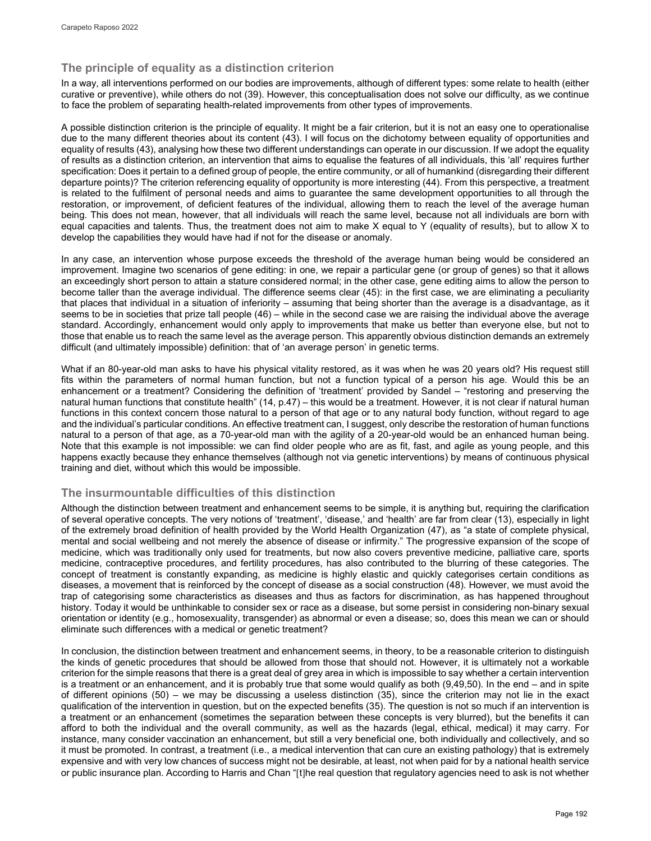## **The principle of equality as a distinction criterion**

In a way, all interventions performed on our bodies are improvements, although of different types: some relate to health (either curative or preventive), while others do not (39). However, this conceptualisation does not solve our difficulty, as we continue to face the problem of separating health-related improvements from other types of improvements.

A possible distinction criterion is the principle of equality. It might be a fair criterion, but it is not an easy one to operationalise due to the many different theories about its content (43). I will focus on the dichotomy between equality of opportunities and equality of results (43), analysing how these two different understandings can operate in our discussion. If we adopt the equality of results as a distinction criterion, an intervention that aims to equalise the features of all individuals, this 'all' requires further specification: Does it pertain to a defined group of people, the entire community, or all of humankind (disregarding their different departure points)? The criterion referencing equality of opportunity is more interesting (44). From this perspective, a treatment is related to the fulfilment of personal needs and aims to guarantee the same development opportunities to all through the restoration, or improvement, of deficient features of the individual, allowing them to reach the level of the average human being. This does not mean, however, that all individuals will reach the same level, because not all individuals are born with equal capacities and talents. Thus, the treatment does not aim to make X equal to Y (equality of results), but to allow X to develop the capabilities they would have had if not for the disease or anomaly.

In any case, an intervention whose purpose exceeds the threshold of the average human being would be considered an improvement. Imagine two scenarios of gene editing: in one, we repair a particular gene (or group of genes) so that it allows an exceedingly short person to attain a stature considered normal; in the other case, gene editing aims to allow the person to become taller than the average individual. The difference seems clear (45): in the first case, we are eliminating a peculiarity that places that individual in a situation of inferiority – assuming that being shorter than the average is a disadvantage, as it seems to be in societies that prize tall people (46) – while in the second case we are raising the individual above the average standard. Accordingly, enhancement would only apply to improvements that make us better than everyone else, but not to those that enable us to reach the same level as the average person. This apparently obvious distinction demands an extremely difficult (and ultimately impossible) definition: that of 'an average person' in genetic terms.

What if an 80-year-old man asks to have his physical vitality restored, as it was when he was 20 years old? His request still fits within the parameters of normal human function, but not a function typical of a person his age. Would this be an enhancement or a treatment? Considering the definition of 'treatment' provided by Sandel – "restoring and preserving the natural human functions that constitute health" (14, p.47) – this would be a treatment. However, it is not clear if natural human functions in this context concern those natural to a person of that age or to any natural body function, without regard to age and the individual's particular conditions. An effective treatment can, I suggest, only describe the restoration of human functions natural to a person of that age, as a 70-year-old man with the agility of a 20-year-old would be an enhanced human being. Note that this example is not impossible: we can find older people who are as fit, fast, and agile as young people, and this happens exactly because they enhance themselves (although not via genetic interventions) by means of continuous physical training and diet, without which this would be impossible.

### **The insurmountable difficulties of this distinction**

Although the distinction between treatment and enhancement seems to be simple, it is anything but, requiring the clarification of several operative concepts. The very notions of 'treatment', 'disease,' and 'health' are far from clear (13), especially in light of the extremely broad definition of health provided by the World Health Organization (47), as "a state of complete physical, mental and social wellbeing and not merely the absence of disease or infirmity." The progressive expansion of the scope of medicine, which was traditionally only used for treatments, but now also covers preventive medicine, palliative care, sports medicine, contraceptive procedures, and fertility procedures, has also contributed to the blurring of these categories. The concept of treatment is constantly expanding, as medicine is highly elastic and quickly categorises certain conditions as diseases, a movement that is reinforced by the concept of disease as a social construction (48). However, we must avoid the trap of categorising some characteristics as diseases and thus as factors for discrimination, as has happened throughout history. Today it would be unthinkable to consider sex or race as a disease, but some persist in considering non-binary sexual orientation or identity (e.g., homosexuality, transgender) as abnormal or even a disease; so, does this mean we can or should eliminate such differences with a medical or genetic treatment?

In conclusion, the distinction between treatment and enhancement seems, in theory, to be a reasonable criterion to distinguish the kinds of genetic procedures that should be allowed from those that should not. However, it is ultimately not a workable criterion for the simple reasons that there is a great deal of grey area in which is impossible to say whether a certain intervention is a treatment or an enhancement, and it is probably true that some would qualify as both (9,49,50). In the end – and in spite of different opinions (50) – we may be discussing a useless distinction (35), since the criterion may not lie in the exact qualification of the intervention in question, but on the expected benefits (35). The question is not so much if an intervention is a treatment or an enhancement (sometimes the separation between these concepts is very blurred), but the benefits it can afford to both the individual and the overall community, as well as the hazards (legal, ethical, medical) it may carry. For instance, many consider vaccination an enhancement, but still a very beneficial one, both individually and collectively, and so it must be promoted. In contrast, a treatment (i.e., a medical intervention that can cure an existing pathology) that is extremely expensive and with very low chances of success might not be desirable, at least, not when paid for by a national health service or public insurance plan. According to Harris and Chan "[t]he real question that regulatory agencies need to ask is not whether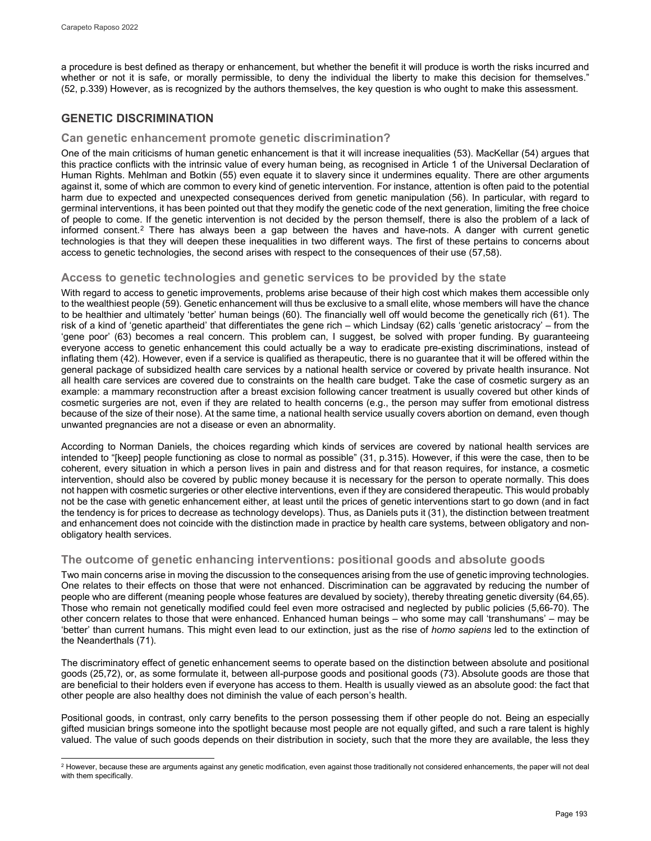a procedure is best defined as therapy or enhancement, but whether the benefit it will produce is worth the risks incurred and whether or not it is safe, or morally permissible, to deny the individual the liberty to make this decision for themselves." (52, p.339) However, as is recognized by the authors themselves, the key question is who ought to make this assessment.

# **GENETIC DISCRIMINATION**

#### **Can genetic enhancement promote genetic discrimination?**

One of the main criticisms of human genetic enhancement is that it will increase inequalities (53). MacKellar (54) argues that this practice conflicts with the intrinsic value of every human being, as recognised in Article 1 of the Universal Declaration of Human Rights. Mehlman and Botkin (55) even equate it to slavery since it undermines equality. There are other arguments against it, some of which are common to every kind of genetic intervention. For instance, attention is often paid to the potential harm due to expected and unexpected consequences derived from genetic manipulation (56). In particular, with regard to germinal interventions, it has been pointed out that they modify the genetic code of the next generation, limiting the free choice of people to come. If the genetic intervention is not decided by the person themself, there is also the problem of a lack of informed consent.<sup>[2](#page-5-0)</sup> There has always been a gap between the haves and have-nots. A danger with current genetic technologies is that they will deepen these inequalities in two different ways. The first of these pertains to concerns about access to genetic technologies, the second arises with respect to the consequences of their use (57,58).

#### **Access to genetic technologies and genetic services to be provided by the state**

With regard to access to genetic improvements, problems arise because of their high cost which makes them accessible only to the wealthiest people (59). Genetic enhancement will thus be exclusive to a small elite, whose members will have the chance to be healthier and ultimately 'better' human beings (60). The financially well off would become the genetically rich (61). The risk of a kind of 'genetic apartheid' that differentiates the gene rich – which Lindsay (62) calls 'genetic aristocracy' – from the 'gene poor' (63) becomes a real concern. This problem can, I suggest, be solved with proper funding. By guaranteeing everyone access to genetic enhancement this could actually be a way to eradicate pre-existing discriminations, instead of inflating them (42). However, even if a service is qualified as therapeutic, there is no guarantee that it will be offered within the general package of subsidized health care services by a national health service or covered by private health insurance. Not all health care services are covered due to constraints on the health care budget. Take the case of cosmetic surgery as an example: a mammary reconstruction after a breast excision following cancer treatment is usually covered but other kinds of cosmetic surgeries are not, even if they are related to health concerns (e.g., the person may suffer from emotional distress because of the size of their nose). At the same time, a national health service usually covers abortion on demand, even though unwanted pregnancies are not a disease or even an abnormality.

According to Norman Daniels, the choices regarding which kinds of services are covered by national health services are intended to "[keep] people functioning as close to normal as possible" (31, p.315). However, if this were the case, then to be coherent, every situation in which a person lives in pain and distress and for that reason requires, for instance, a cosmetic intervention, should also be covered by public money because it is necessary for the person to operate normally. This does not happen with cosmetic surgeries or other elective interventions, even if they are considered therapeutic. This would probably not be the case with genetic enhancement either, at least until the prices of genetic interventions start to go down (and in fact the tendency is for prices to decrease as technology develops). Thus, as Daniels puts it (31), the distinction between treatment and enhancement does not coincide with the distinction made in practice by health care systems, between obligatory and nonobligatory health services.

#### **The outcome of genetic enhancing interventions: positional goods and absolute goods**

Two main concerns arise in moving the discussion to the consequences arising from the use of genetic improving technologies. One relates to their effects on those that were not enhanced. Discrimination can be aggravated by reducing the number of people who are different (meaning people whose features are devalued by society), thereby threating genetic diversity (64,65). Those who remain not genetically modified could feel even more ostracised and neglected by public policies (5,66-70). The other concern relates to those that were enhanced. Enhanced human beings – who some may call 'transhumans' – may be 'better' than current humans. This might even lead to our extinction, just as the rise of *homo sapiens* led to the extinction of the Neanderthals (71).

The discriminatory effect of genetic enhancement seems to operate based on the distinction between absolute and positional goods (25,72), or, as some formulate it, between all-purpose goods and positional goods (73). Absolute goods are those that are beneficial to their holders even if everyone has access to them. Health is usually viewed as an absolute good: the fact that other people are also healthy does not diminish the value of each person's health.

Positional goods, in contrast, only carry benefits to the person possessing them if other people do not. Being an especially gifted musician brings someone into the spotlight because most people are not equally gifted, and such a rare talent is highly valued. The value of such goods depends on their distribution in society, such that the more they are available, the less they

<span id="page-5-0"></span>l  $^2$  However, because these are arguments against any genetic modification, even against those traditionally not considered enhancements, the paper will not deal with them specifically.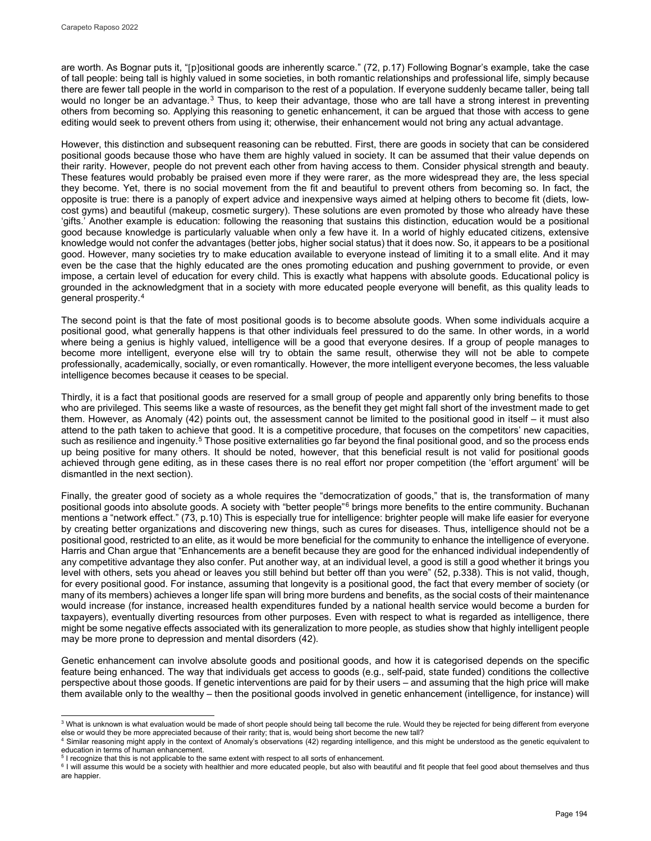are worth. As Bognar puts it, "[p]ositional goods are inherently scarce." (72, p.17) Following Bognar's example, take the case of tall people: being tall is highly valued in some societies, in both romantic relationships and professional life, simply because there are fewer tall people in the world in comparison to the rest of a population. If everyone suddenly became taller, being tall would no longer be an advantage.<sup>[3](#page-6-0)</sup> Thus, to keep their advantage, those who are tall have a strong interest in preventing others from becoming so. Applying this reasoning to genetic enhancement, it can be argued that those with access to gene editing would seek to prevent others from using it; otherwise, their enhancement would not bring any actual advantage.

However, this distinction and subsequent reasoning can be rebutted. First, there are goods in society that can be considered positional goods because those who have them are highly valued in society. It can be assumed that their value depends on their rarity. However, people do not prevent each other from having access to them. Consider physical strength and beauty. These features would probably be praised even more if they were rarer, as the more widespread they are, the less special they become. Yet, there is no social movement from the fit and beautiful to prevent others from becoming so. In fact, the opposite is true: there is a panoply of expert advice and inexpensive ways aimed at helping others to become fit (diets, lowcost gyms) and beautiful (makeup, cosmetic surgery). These solutions are even promoted by those who already have these 'gifts.' Another example is education: following the reasoning that sustains this distinction, education would be a positional good because knowledge is particularly valuable when only a few have it. In a world of highly educated citizens, extensive knowledge would not confer the advantages (better jobs, higher social status) that it does now. So, it appears to be a positional good. However, many societies try to make education available to everyone instead of limiting it to a small elite. And it may even be the case that the highly educated are the ones promoting education and pushing government to provide, or even impose, a certain level of education for every child. This is exactly what happens with absolute goods. Educational policy is grounded in the acknowledgment that in a society with more educated people everyone will benefit, as this quality leads to general prosperity.[4](#page-6-1)

The second point is that the fate of most positional goods is to become absolute goods. When some individuals acquire a positional good, what generally happens is that other individuals feel pressured to do the same. In other words, in a world where being a genius is highly valued, intelligence will be a good that everyone desires. If a group of people manages to become more intelligent, everyone else will try to obtain the same result, otherwise they will not be able to compete professionally, academically, socially, or even romantically. However, the more intelligent everyone becomes, the less valuable intelligence becomes because it ceases to be special.

Thirdly, it is a fact that positional goods are reserved for a small group of people and apparently only bring benefits to those who are privileged. This seems like a waste of resources, as the benefit they get might fall short of the investment made to get them. However, as Anomaly (42) points out, the assessment cannot be limited to the positional good in itself – it must also attend to the path taken to achieve that good. It is a competitive procedure, that focuses on the competitors' new capacities, such as resilience and ingenuity.<sup>[5](#page-6-2)</sup> Those positive externalities go far beyond the final positional good, and so the process ends up being positive for many others. It should be noted, however, that this beneficial result is not valid for positional goods achieved through gene editing, as in these cases there is no real effort nor proper competition (the 'effort argument' will be dismantled in the next section).

Finally, the greater good of society as a whole requires the "democratization of goods," that is, the transformation of many positional goods into absolute goods. A society with "better people"[6](#page-6-3) brings more benefits to the entire community. Buchanan mentions a "network effect." (73, p.10) This is especially true for intelligence: brighter people will make life easier for everyone by creating better organizations and discovering new things, such as cures for diseases. Thus, intelligence should not be a positional good, restricted to an elite, as it would be more beneficial for the community to enhance the intelligence of everyone. Harris and Chan argue that "Enhancements are a benefit because they are good for the enhanced individual independently of any competitive advantage they also confer. Put another way, at an individual level, a good is still a good whether it brings you level with others, sets you ahead or leaves you still behind but better off than you were" (52, p.338). This is not valid, though, for every positional good. For instance, assuming that longevity is a positional good, the fact that every member of society (or many of its members) achieves a longer life span will bring more burdens and benefits, as the social costs of their maintenance would increase (for instance, increased health expenditures funded by a national health service would become a burden for taxpayers), eventually diverting resources from other purposes. Even with respect to what is regarded as intelligence, there might be some negative effects associated with its generalization to more people, as studies show that highly intelligent people may be more prone to depression and mental disorders (42).

Genetic enhancement can involve absolute goods and positional goods, and how it is categorised depends on the specific feature being enhanced. The way that individuals get access to goods (e.g., self-paid, state funded) conditions the collective perspective about those goods. If genetic interventions are paid for by their users – and assuming that the high price will make them available only to the wealthy – then the positional goods involved in genetic enhancement (intelligence, for instance) will

<span id="page-6-0"></span>j  $^3$  What is unknown is what evaluation would be made of short people should being tall become the rule. Would they be rejected for being different from everyone

<span id="page-6-1"></span>else or would they be more appreciated because of their rarity; that is, would being short become the new tall?<br><sup>4</sup> Similar reasoning might apply in the context of Anomaly's observations (42) regarding intelligence, and th education in terms of human enhancement.

<span id="page-6-2"></span><sup>&</sup>lt;sup>5</sup> I recognize that this is not applicable to the same extent with respect to all sorts of enhancement.

<span id="page-6-3"></span><sup>6</sup> I will assume this would be a society with healthier and more educated people, but also with beautiful and fit people that feel good about themselves and thus are happier.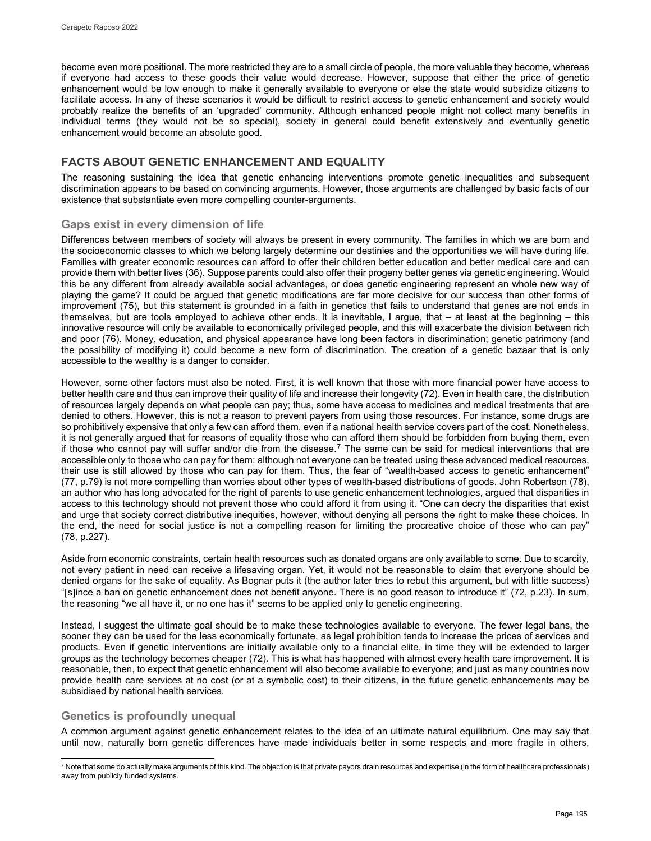become even more positional. The more restricted they are to a small circle of people, the more valuable they become, whereas if everyone had access to these goods their value would decrease. However, suppose that either the price of genetic enhancement would be low enough to make it generally available to everyone or else the state would subsidize citizens to facilitate access. In any of these scenarios it would be difficult to restrict access to genetic enhancement and society would probably realize the benefits of an 'upgraded' community. Although enhanced people might not collect many benefits in individual terms (they would not be so special), society in general could benefit extensively and eventually genetic enhancement would become an absolute good.

## **FACTS ABOUT GENETIC ENHANCEMENT AND EQUALITY**

The reasoning sustaining the idea that genetic enhancing interventions promote genetic inequalities and subsequent discrimination appears to be based on convincing arguments. However, those arguments are challenged by basic facts of our existence that substantiate even more compelling counter-arguments.

#### **Gaps exist in every dimension of life**

Differences between members of society will always be present in every community. The families in which we are born and the socioeconomic classes to which we belong largely determine our destinies and the opportunities we will have during life. Families with greater economic resources can afford to offer their children better education and better medical care and can provide them with better lives (36). Suppose parents could also offer their progeny better genes via genetic engineering. Would this be any different from already available social advantages, or does genetic engineering represent an whole new way of playing the game? It could be argued that genetic modifications are far more decisive for our success than other forms of improvement (75), but this statement is grounded in a faith in genetics that fails to understand that genes are not ends in themselves, but are tools employed to achieve other ends. It is inevitable, I argue, that – at least at the beginning – this innovative resource will only be available to economically privileged people, and this will exacerbate the division between rich and poor (76). Money, education, and physical appearance have long been factors in discrimination; genetic patrimony (and the possibility of modifying it) could become a new form of discrimination. The creation of a genetic bazaar that is only accessible to the wealthy is a danger to consider.

However, some other factors must also be noted. First, it is well known that those with more financial power have access to better health care and thus can improve their quality of life and increase their longevity (72). Even in health care, the distribution of resources largely depends on what people can pay; thus, some have access to medicines and medical treatments that are denied to others. However, this is not a reason to prevent payers from using those resources. For instance, some drugs are so prohibitively expensive that only a few can afford them, even if a national health service covers part of the cost. Nonetheless, it is not generally argued that for reasons of equality those who can afford them should be forbidden from buying them, even if those who cannot pay will suffer and/or die from the disease.<sup>[7](#page-7-0)</sup> The same can be said for medical interventions that are accessible only to those who can pay for them: although not everyone can be treated using these advanced medical resources, their use is still allowed by those who can pay for them. Thus, the fear of "wealth-based access to genetic enhancement" (77, p.79) is not more compelling than worries about other types of wealth-based distributions of goods. John Robertson (78), an author who has long advocated for the right of parents to use genetic enhancement technologies, argued that disparities in access to this technology should not prevent those who could afford it from using it. "One can decry the disparities that exist and urge that society correct distributive inequities, however, without denying all persons the right to make these choices. In the end, the need for social justice is not a compelling reason for limiting the procreative choice of those who can pay" (78, p.227).

Aside from economic constraints, certain health resources such as donated organs are only available to some. Due to scarcity, not every patient in need can receive a lifesaving organ. Yet, it would not be reasonable to claim that everyone should be denied organs for the sake of equality. As Bognar puts it (the author later tries to rebut this argument, but with little success) "[s]ince a ban on genetic enhancement does not benefit anyone. There is no good reason to introduce it" (72, p.23). In sum, the reasoning "we all have it, or no one has it" seems to be applied only to genetic engineering.

Instead, I suggest the ultimate goal should be to make these technologies available to everyone. The fewer legal bans, the sooner they can be used for the less economically fortunate, as legal prohibition tends to increase the prices of services and products. Even if genetic interventions are initially available only to a financial elite, in time they will be extended to larger groups as the technology becomes cheaper (72). This is what has happened with almost every health care improvement. It is reasonable, then, to expect that genetic enhancement will also become available to everyone; and just as many countries now provide health care services at no cost (or at a symbolic cost) to their citizens, in the future genetic enhancements may be subsidised by national health services.

### **Genetics is profoundly unequal**

A common argument against genetic enhancement relates to the idea of an ultimate natural equilibrium. One may say that until now, naturally born genetic differences have made individuals better in some respects and more fragile in others,

<span id="page-7-0"></span>l  $^7$  Note that some do actually make arguments of this kind. The objection is that private payors drain resources and expertise (in the form of healthcare professionals) away from publicly funded systems.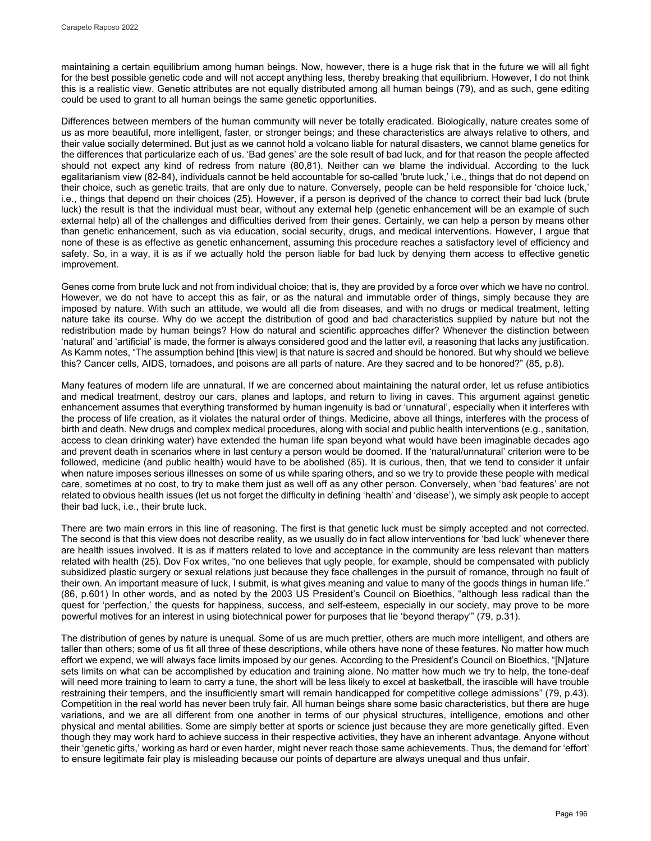maintaining a certain equilibrium among human beings. Now, however, there is a huge risk that in the future we will all fight for the best possible genetic code and will not accept anything less, thereby breaking that equilibrium. However, I do not think this is a realistic view. Genetic attributes are not equally distributed among all human beings (79), and as such, gene editing could be used to grant to all human beings the same genetic opportunities.

Differences between members of the human community will never be totally eradicated. Biologically, nature creates some of us as more beautiful, more intelligent, faster, or stronger beings; and these characteristics are always relative to others, and their value socially determined. But just as we cannot hold a volcano liable for natural disasters, we cannot blame genetics for the differences that particularize each of us. 'Bad genes' are the sole result of bad luck, and for that reason the people affected should not expect any kind of redress from nature (80,81). Neither can we blame the individual. According to the luck egalitarianism view (82-84), individuals cannot be held accountable for so-called 'brute luck,' i.e., things that do not depend on their choice, such as genetic traits, that are only due to nature. Conversely, people can be held responsible for 'choice luck,' i.e., things that depend on their choices (25). However, if a person is deprived of the chance to correct their bad luck (brute luck) the result is that the individual must bear, without any external help (genetic enhancement will be an example of such external help) all of the challenges and difficulties derived from their genes. Certainly, we can help a person by means other than genetic enhancement, such as via education, social security, drugs, and medical interventions. However, I argue that none of these is as effective as genetic enhancement, assuming this procedure reaches a satisfactory level of efficiency and safety. So, in a way, it is as if we actually hold the person liable for bad luck by denying them access to effective genetic improvement.

Genes come from brute luck and not from individual choice; that is, they are provided by a force over which we have no control. However, we do not have to accept this as fair, or as the natural and immutable order of things, simply because they are imposed by nature. With such an attitude, we would all die from diseases, and with no drugs or medical treatment, letting nature take its course. Why do we accept the distribution of good and bad characteristics supplied by nature but not the redistribution made by human beings? How do natural and scientific approaches differ? Whenever the distinction between 'natural' and 'artificial' is made, the former is always considered good and the latter evil, a reasoning that lacks any justification. As Kamm notes, "The assumption behind [this view] is that nature is sacred and should be honored. But why should we believe this? Cancer cells, AIDS, tornadoes, and poisons are all parts of nature. Are they sacred and to be honored?" (85, p.8).

Many features of modern life are unnatural. If we are concerned about maintaining the natural order, let us refuse antibiotics and medical treatment, destroy our cars, planes and laptops, and return to living in caves. This argument against genetic enhancement assumes that everything transformed by human ingenuity is bad or 'unnatural', especially when it interferes with the process of life creation, as it violates the natural order of things. Medicine, above all things, interferes with the process of birth and death. New drugs and complex medical procedures, along with social and public health interventions (e.g., sanitation, access to clean drinking water) have extended the human life span beyond what would have been imaginable decades ago and prevent death in scenarios where in last century a person would be doomed. If the 'natural/unnatural' criterion were to be followed, medicine (and public health) would have to be abolished (85). It is curious, then, that we tend to consider it unfair when nature imposes serious illnesses on some of us while sparing others, and so we try to provide these people with medical care, sometimes at no cost, to try to make them just as well off as any other person. Conversely, when 'bad features' are not related to obvious health issues (let us not forget the difficulty in defining 'health' and 'disease'), we simply ask people to accept their bad luck, i.e., their brute luck.

There are two main errors in this line of reasoning. The first is that genetic luck must be simply accepted and not corrected. The second is that this view does not describe reality, as we usually do in fact allow interventions for 'bad luck' whenever there are health issues involved. It is as if matters related to love and acceptance in the community are less relevant than matters related with health (25). Dov Fox writes, "no one believes that ugly people, for example, should be compensated with publicly subsidized plastic surgery or sexual relations just because they face challenges in the pursuit of romance, through no fault of their own. An important measure of luck, I submit, is what gives meaning and value to many of the goods things in human life." (86, p.601) In other words, and as noted by the 2003 US President's Council on Bioethics, "although less radical than the quest for 'perfection,' the quests for happiness, success, and self-esteem, especially in our society, may prove to be more powerful motives for an interest in using biotechnical power for purposes that lie 'beyond therapy'" (79, p.31).

The distribution of genes by nature is unequal. Some of us are much prettier, others are much more intelligent, and others are taller than others; some of us fit all three of these descriptions, while others have none of these features. No matter how much effort we expend, we will always face limits imposed by our genes. According to the President's Council on Bioethics, "[N]ature sets limits on what can be accomplished by education and training alone. No matter how much we try to help, the tone-deaf will need more training to learn to carry a tune, the short will be less likely to excel at basketball, the irascible will have trouble restraining their tempers, and the insufficiently smart will remain handicapped for competitive college admissions" (79, p.43). Competition in the real world has never been truly fair. All human beings share some basic characteristics, but there are huge variations, and we are all different from one another in terms of our physical structures, intelligence, emotions and other physical and mental abilities. Some are simply better at sports or science just because they are more genetically gifted. Even though they may work hard to achieve success in their respective activities, they have an inherent advantage. Anyone without their 'genetic gifts,' working as hard or even harder, might never reach those same achievements. Thus, the demand for 'effort' to ensure legitimate fair play is misleading because our points of departure are always unequal and thus unfair.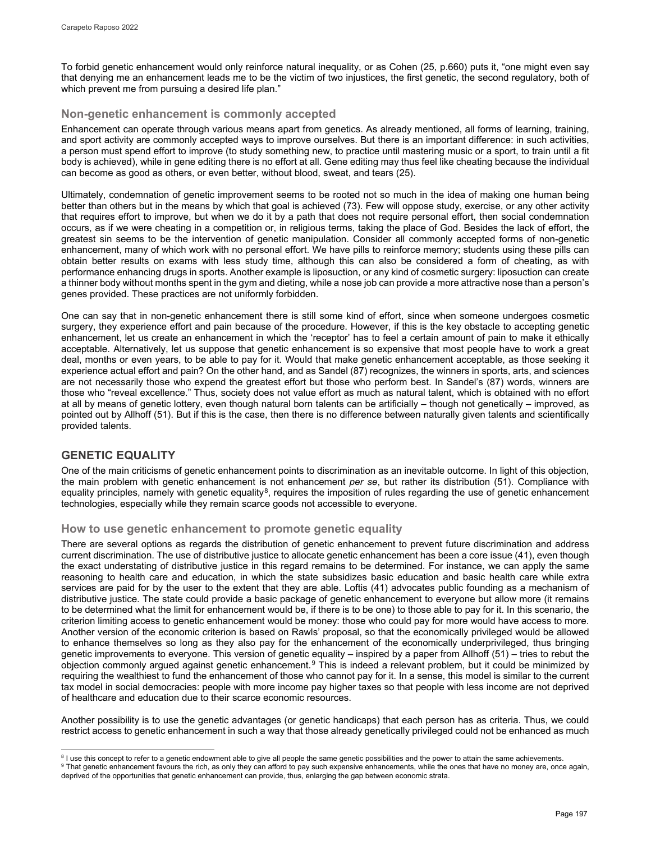To forbid genetic enhancement would only reinforce natural inequality, or as Cohen (25, p.660) puts it, "one might even say that denying me an enhancement leads me to be the victim of two injustices, the first genetic, the second regulatory, both of which prevent me from pursuing a desired life plan."

### **Non-genetic enhancement is commonly accepted**

Enhancement can operate through various means apart from genetics. As already mentioned, all forms of learning, training, and sport activity are commonly accepted ways to improve ourselves. But there is an important difference: in such activities, a person must spend effort to improve (to study something new, to practice until mastering music or a sport, to train until a fit body is achieved), while in gene editing there is no effort at all. Gene editing may thus feel like cheating because the individual can become as good as others, or even better, without blood, sweat, and tears (25).

Ultimately, condemnation of genetic improvement seems to be rooted not so much in the idea of making one human being better than others but in the means by which that goal is achieved (73). Few will oppose study, exercise, or any other activity that requires effort to improve, but when we do it by a path that does not require personal effort, then social condemnation occurs, as if we were cheating in a competition or, in religious terms, taking the place of God. Besides the lack of effort, the greatest sin seems to be the intervention of genetic manipulation. Consider all commonly accepted forms of non-genetic enhancement, many of which work with no personal effort. We have pills to reinforce memory; students using these pills can obtain better results on exams with less study time, although this can also be considered a form of cheating, as with performance enhancing drugs in sports. Another example is liposuction, or any kind of cosmetic surgery: liposuction can create a thinner body without months spent in the gym and dieting, while a nose job can provide a more attractive nose than a person's genes provided. These practices are not uniformly forbidden.

One can say that in non-genetic enhancement there is still some kind of effort, since when someone undergoes cosmetic surgery, they experience effort and pain because of the procedure. However, if this is the key obstacle to accepting genetic enhancement, let us create an enhancement in which the 'receptor' has to feel a certain amount of pain to make it ethically acceptable. Alternatively, let us suppose that genetic enhancement is so expensive that most people have to work a great deal, months or even years, to be able to pay for it. Would that make genetic enhancement acceptable, as those seeking it experience actual effort and pain? On the other hand, and as Sandel (87) recognizes, the winners in sports, arts, and sciences are not necessarily those who expend the greatest effort but those who perform best. In Sandel's (87) words, winners are those who "reveal excellence." Thus, society does not value effort as much as natural talent, which is obtained with no effort at all by means of genetic lottery, even though natural born talents can be artificially – though not genetically – improved, as pointed out by Allhoff (51). But if this is the case, then there is no difference between naturally given talents and scientifically provided talents.

## **GENETIC EQUALITY**

One of the main criticisms of genetic enhancement points to discrimination as an inevitable outcome. In light of this objection, the main problem with genetic enhancement is not enhancement *per se*, but rather its distribution (51). Compliance with equality principles, namely with genetic equality<sup>[8](#page-9-0)</sup>, requires the imposition of rules regarding the use of genetic enhancement technologies, especially while they remain scarce goods not accessible to everyone.

### **How to use genetic enhancement to promote genetic equality**

There are several options as regards the distribution of genetic enhancement to prevent future discrimination and address current discrimination. The use of distributive justice to allocate genetic enhancement has been a core issue (41), even though the exact understating of distributive justice in this regard remains to be determined. For instance, we can apply the same reasoning to health care and education, in which the state subsidizes basic education and basic health care while extra services are paid for by the user to the extent that they are able. Loftis (41) advocates public founding as a mechanism of distributive justice. The state could provide a basic package of genetic enhancement to everyone but allow more (it remains to be determined what the limit for enhancement would be, if there is to be one) to those able to pay for it. In this scenario, the criterion limiting access to genetic enhancement would be money: those who could pay for more would have access to more. Another version of the economic criterion is based on Rawls' proposal, so that the economically privileged would be allowed to enhance themselves so long as they also pay for the enhancement of the economically underprivileged, thus bringing genetic improvements to everyone. This version of genetic equality – inspired by a paper from Allhoff (51) – tries to rebut the objection commonly argued against genetic enhancement.[9](#page-9-1) This is indeed a relevant problem, but it could be minimized by requiring the wealthiest to fund the enhancement of those who cannot pay for it. In a sense, this model is similar to the current tax model in social democracies: people with more income pay higher taxes so that people with less income are not deprived of healthcare and education due to their scarce economic resources.

Another possibility is to use the genetic advantages (or genetic handicaps) that each person has as criteria. Thus, we could restrict access to genetic enhancement in such a way that those already genetically privileged could not be enhanced as much

j <sup>8</sup> I use this concept to refer to a genetic endowment able to give all people the same genetic possibilities and the power to attain the same achievements.

<span id="page-9-1"></span><span id="page-9-0"></span><sup>9</sup> That genetic enhancement favours the rich, as only they can afford to pay such expensive enhancements, while the ones that have no money are, once again, deprived of the opportunities that genetic enhancement can provide, thus, enlarging the gap between economic strata.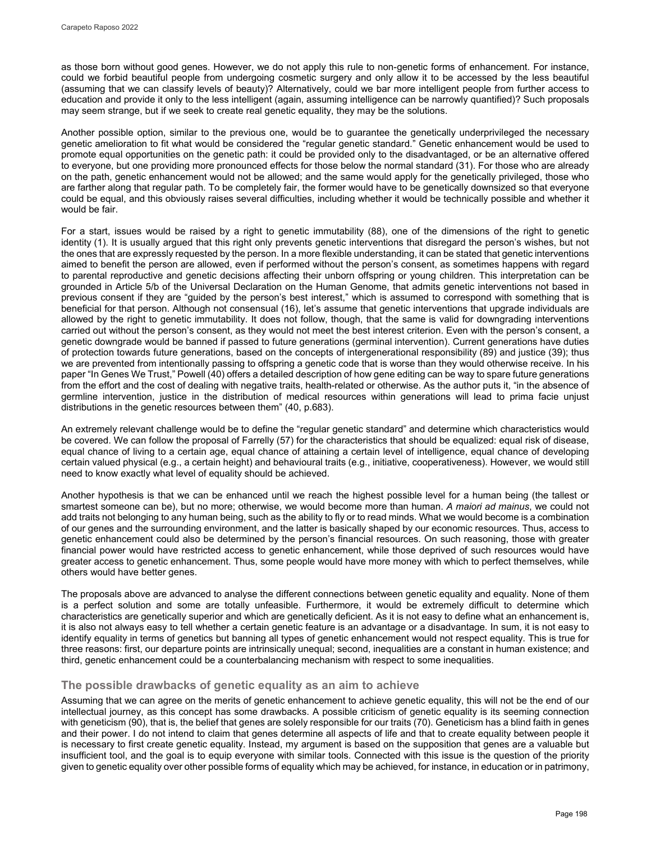as those born without good genes. However, we do not apply this rule to non-genetic forms of enhancement. For instance, could we forbid beautiful people from undergoing cosmetic surgery and only allow it to be accessed by the less beautiful (assuming that we can classify levels of beauty)? Alternatively, could we bar more intelligent people from further access to education and provide it only to the less intelligent (again, assuming intelligence can be narrowly quantified)? Such proposals may seem strange, but if we seek to create real genetic equality, they may be the solutions.

Another possible option, similar to the previous one, would be to guarantee the genetically underprivileged the necessary genetic amelioration to fit what would be considered the "regular genetic standard." Genetic enhancement would be used to promote equal opportunities on the genetic path: it could be provided only to the disadvantaged, or be an alternative offered to everyone, but one providing more pronounced effects for those below the normal standard (31). For those who are already on the path, genetic enhancement would not be allowed; and the same would apply for the genetically privileged, those who are farther along that regular path. To be completely fair, the former would have to be genetically downsized so that everyone could be equal, and this obviously raises several difficulties, including whether it would be technically possible and whether it would be fair.

For a start, issues would be raised by a right to genetic immutability (88), one of the dimensions of the right to genetic identity (1). It is usually argued that this right only prevents genetic interventions that disregard the person's wishes, but not the ones that are expressly requested by the person. In a more flexible understanding, it can be stated that genetic interventions aimed to benefit the person are allowed, even if performed without the person's consent, as sometimes happens with regard to parental reproductive and genetic decisions affecting their unborn offspring or young children. This interpretation can be grounded in Article 5/b of the Universal Declaration on the Human Genome, that admits genetic interventions not based in previous consent if they are "guided by the person's best interest," which is assumed to correspond with something that is beneficial for that person. Although not consensual (16), let's assume that genetic interventions that upgrade individuals are allowed by the right to genetic immutability. It does not follow, though, that the same is valid for downgrading interventions carried out without the person's consent, as they would not meet the best interest criterion. Even with the person's consent, a genetic downgrade would be banned if passed to future generations (germinal intervention). Current generations have duties of protection towards future generations, based on the concepts of intergenerational responsibility (89) and justice (39); thus we are prevented from intentionally passing to offspring a genetic code that is worse than they would otherwise receive. In his paper "In Genes We Trust," Powell (40) offers a detailed description of how gene editing can be way to spare future generations from the effort and the cost of dealing with negative traits, health-related or otherwise. As the author puts it, "in the absence of germline intervention, justice in the distribution of medical resources within generations will lead to prima facie unjust distributions in the genetic resources between them" (40, p.683).

An extremely relevant challenge would be to define the "regular genetic standard" and determine which characteristics would be covered. We can follow the proposal of Farrelly (57) for the characteristics that should be equalized: equal risk of disease, equal chance of living to a certain age, equal chance of attaining a certain level of intelligence, equal chance of developing certain valued physical (e.g., a certain height) and behavioural traits (e.g., initiative, cooperativeness). However, we would still need to know exactly what level of equality should be achieved.

Another hypothesis is that we can be enhanced until we reach the highest possible level for a human being (the tallest or smartest someone can be), but no more; otherwise, we would become more than human. *A maiori ad mainus*, we could not add traits not belonging to any human being, such as the ability to fly or to read minds. What we would become is a combination of our genes and the surrounding environment, and the latter is basically shaped by our economic resources. Thus, access to genetic enhancement could also be determined by the person's financial resources. On such reasoning, those with greater financial power would have restricted access to genetic enhancement, while those deprived of such resources would have greater access to genetic enhancement. Thus, some people would have more money with which to perfect themselves, while others would have better genes.

The proposals above are advanced to analyse the different connections between genetic equality and equality. None of them is a perfect solution and some are totally unfeasible. Furthermore, it would be extremely difficult to determine which characteristics are genetically superior and which are genetically deficient. As it is not easy to define what an enhancement is, it is also not always easy to tell whether a certain genetic feature is an advantage or a disadvantage. In sum, it is not easy to identify equality in terms of genetics but banning all types of genetic enhancement would not respect equality. This is true for three reasons: first, our departure points are intrinsically unequal; second, inequalities are a constant in human existence; and third, genetic enhancement could be a counterbalancing mechanism with respect to some inequalities.

### **The possible drawbacks of genetic equality as an aim to achieve**

Assuming that we can agree on the merits of genetic enhancement to achieve genetic equality, this will not be the end of our intellectual journey, as this concept has some drawbacks. A possible criticism of genetic equality is its seeming connection with geneticism (90), that is, the belief that genes are solely responsible for our traits (70). Geneticism has a blind faith in genes and their power. I do not intend to claim that genes determine all aspects of life and that to create equality between people it is necessary to first create genetic equality. Instead, my argument is based on the supposition that genes are a valuable but insufficient tool, and the goal is to equip everyone with similar tools. Connected with this issue is the question of the priority given to genetic equality over other possible forms of equality which may be achieved, for instance, in education or in patrimony,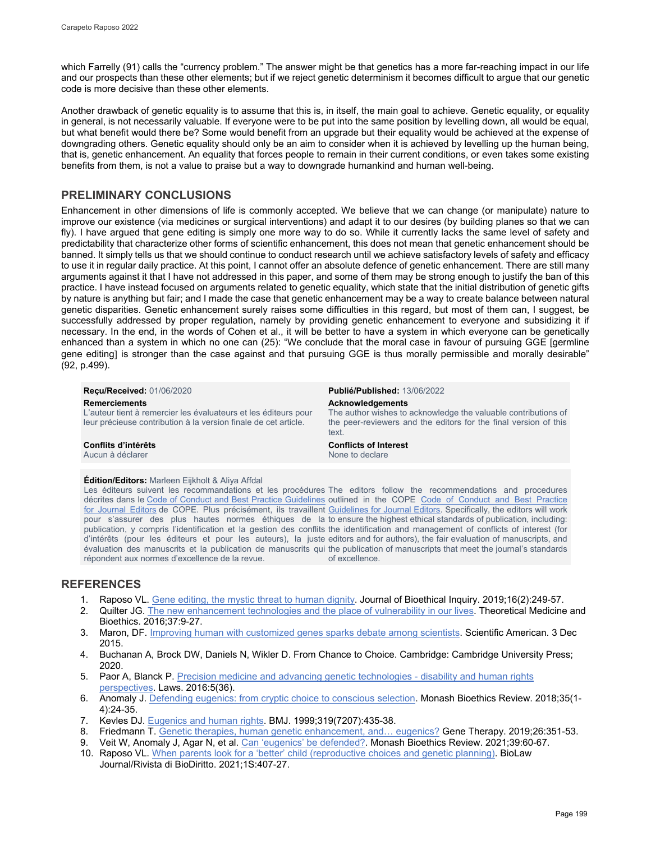which Farrelly (91) calls the "currency problem." The answer might be that genetics has a more far-reaching impact in our life and our prospects than these other elements; but if we reject genetic determinism it becomes difficult to argue that our genetic code is more decisive than these other elements.

Another drawback of genetic equality is to assume that this is, in itself, the main goal to achieve. Genetic equality, or equality in general, is not necessarily valuable. If everyone were to be put into the same position by levelling down, all would be equal, but what benefit would there be? Some would benefit from an upgrade but their equality would be achieved at the expense of downgrading others. Genetic equality should only be an aim to consider when it is achieved by levelling up the human being, that is, genetic enhancement. An equality that forces people to remain in their current conditions, or even takes some existing benefits from them, is not a value to praise but a way to downgrade humankind and human well-being.

## **PRELIMINARY CONCLUSIONS**

Enhancement in other dimensions of life is commonly accepted. We believe that we can change (or manipulate) nature to improve our existence (via medicines or surgical interventions) and adapt it to our desires (by building planes so that we can fly). I have argued that gene editing is simply one more way to do so. While it currently lacks the same level of safety and predictability that characterize other forms of scientific enhancement, this does not mean that genetic enhancement should be banned. It simply tells us that we should continue to conduct research until we achieve satisfactory levels of safety and efficacy to use it in regular daily practice. At this point, I cannot offer an absolute defence of genetic enhancement. There are still many arguments against it that I have not addressed in this paper, and some of them may be strong enough to justify the ban of this practice. I have instead focused on arguments related to genetic equality, which state that the initial distribution of genetic gifts by nature is anything but fair; and I made the case that genetic enhancement may be a way to create balance between natural genetic disparities. Genetic enhancement surely raises some difficulties in this regard, but most of them can, I suggest, be successfully addressed by proper regulation, namely by providing genetic enhancement to everyone and subsidizing it if necessary. In the end, in the words of Cohen et al., it will be better to have a system in which everyone can be genetically enhanced than a system in which no one can (25): "We conclude that the moral case in favour of pursuing GGE [germline gene editing] is stronger than the case against and that pursuing GGE is thus morally permissible and morally desirable" (92, p.499).

**Reçu/Received:** 01/06/2020 **Publié/Published:** 13/06/2022

L'auteur tient à remercier les évaluateurs et les éditeurs pour leur précieuse contribution à la version finale de cet article.

**Remerciements Acknowledgements** *Acknowledgements* The author wishes to acknowledge the valuable contributions of the peer-reviewers and the editors for the final version of this text.

**Conflits d'intérêts Conflicts of Interest** Aucun à déclarer

#### **Édition/Editors:** Marleen Eijkholt & Aliya Affdal

décrites dans le [Code of Conduct and Best Practice Guidelines](http://publicationethics.org/resources/code-conduct) outlined in the COPE Code of Conduct and Best Practice <u>[for Journal Editors](http://publicationethics.org/resources/code-conduct)</u> de COPE. Plus précisément, ils travaillent <u>Guidelines for Journal Editors</u>. Specifically, the editors will work pour s'assurer des plus hautes normes éthiques de la to ensure the highest ethical standards of publication, including: publication, y compris l'identification et la gestion des conflits the identification and management of conflicts of interest (for d'intérêts (pour les éditeurs et pour les auteurs), la juste editors and for authors), the fair evaluation of manuscripts, and évaluation des manuscrits et la publication de manuscrits qui the publication of manuscripts that meet the journal's standards répondent aux normes d'excellence de la revue.

Les éditeurs suivent les recommandations et les procédures The editors follow the recommendations and procedures of excellence.

# **REFERENCES**

- 1. Raposo VL. [Gene editing, the mystic threat to human dignity.](https://pubmed.ncbi.nlm.nih.gov/30887186/) Journal of Bioethical Inquiry. 2019;16(2):249-57.
- 2. Quilter JG. [The new enhancement technologies and the place of vulnerability in our lives.](https://pubmed.ncbi.nlm.nih.gov/26935438/) Theoretical Medicine and Bioethics. 2016;37:9-27.
- 3. Maron, DF. [Improving human with customized genes sparks debate among scientists.](https://www.scientificamerican.com/article/improving-humans-with-customized-genes-sparks-debate-among-scientists1/) Scientific American. 3 Dec 2015.
- 4. Buchanan A, Brock DW, Daniels N, Wikler D. From Chance to Choice. Cambridge: Cambridge University Press; 2020.
- 5. Paor A, Blanck P[. Precision medicine and advancing genetic technologies disability and human rights](https://ideas.repec.org/a/gam/jlawss/v5y2016i3p36-d77018.html#biblio)  [perspectives.](https://ideas.repec.org/a/gam/jlawss/v5y2016i3p36-d77018.html#biblio) Laws. 2016:5(36).
- 6. Anomaly J[. Defending eugenics: from cryptic choice to conscious selection.](https://pubmed.ncbi.nlm.nih.gov/29804244/) Monash Bioethics Review. 2018;35(1- 4):24-35.
- 7. Kevles DJ. [Eugenics and human rights.](https://www.bmj.com/content/319/7207/435) BMJ. 1999;319(7207):435-38.
- 8. Friedmann T. Genetic therapies, human genetic enhancement, and... eugenics? Gene Therapy. 2019;26:351-53.
- 9. Veit W, Anomaly J, Agar N, et al. [Can 'eugenics' be defended?.](https://doi.org/10.1007/s40592-021-00129-1) Monash Bioethics Review. 2021;39:60-67. 10. Raposo VL. [When parents look for a 'better' child \(reproductive choices and genetic planning\).](http://dx.doi.org/10.15168/2284-4503-796) BioLaw
- Journal/Rivista di BioDiritto. 2021;1S:407-27.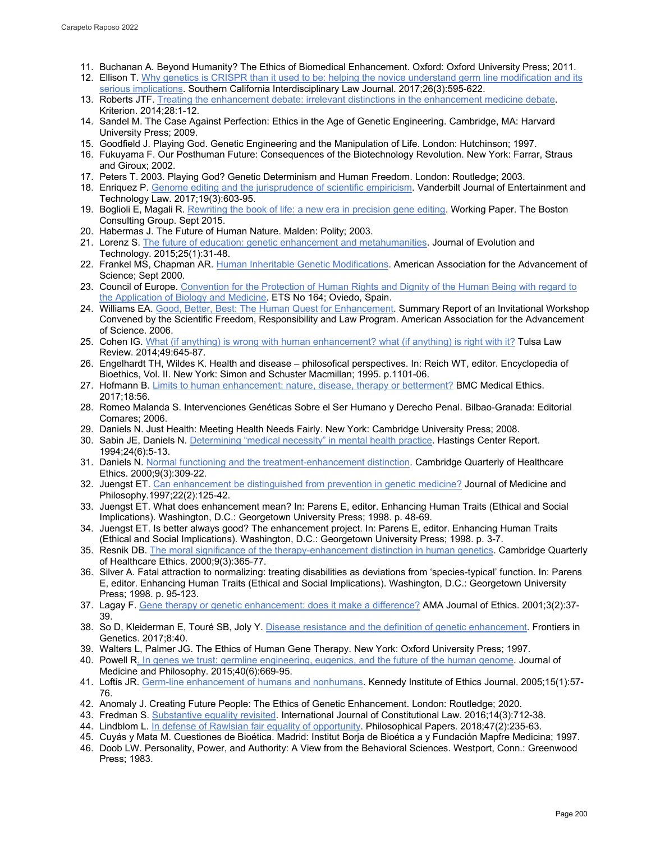- 11. Buchanan A. Beyond Humanity? The Ethics of Biomedical Enhancement. Oxford: Oxford University Press; 2011.
- 12. Ellison T. Why genetics is CRISPR than it used to be: helping the novice understand germ line modification and its [serious implications.](https://mylaw2.usc.edu/why/students/orgs/ilj/assets/docs/26-3-Ellison.pdf) Southern California Interdisciplinary Law Journal. 2017;26(3):595-622.
- 13. Roberts JTF. [Treating the enhancement debate: irrelevant distinctions in the enhancement medicine debate.](http://www.kriterion-journal-of-philosophy.org/kriterion/issues/Kriterion-2014-28/Kriterion-2014-28-001-012-roberts.pdf)  Kriterion. 2014;28:1-12.
- 14. Sandel M. The Case Against Perfection: Ethics in the Age of Genetic Engineering. Cambridge, MA: Harvard University Press; 2009.
- 15. Goodfield J. Playing God. Genetic Engineering and the Manipulation of Life. London: Hutchinson; 1997.
- 16. Fukuyama F. Our Posthuman Future: Consequences of the Biotechnology Revolution. New York: Farrar, Straus and Giroux; 2002.
- 17. Peters T. 2003. Playing God? Genetic Determinism and Human Freedom. London: Routledge; 2003.
- 18. Enriquez P[. Genome editing and the jurisprudence of scientific empiricism.](https://papers.ssrn.com/sol3/papers.cfm?abstract_id=2760125) Vanderbilt Journal of Entertainment and Technology Law. 2017;19(3):603-95.
- 19. Boglioli E, Magali R. Rewriting the [book of life: a new era in precision gene editing.](http://media-publications.bcg.com/BCG-New-Era-Precision-Gene-Editing-09Sept15.pdf) Working Paper. The Boston Consulting Group. Sept 2015.
- 20. Habermas J. The Future of Human Nature. Malden: Polity; 2003.
- 21. Lorenz S[. The future of education: genetic enhancement and metahumanities.](https://jetpress.org/v25.1/sorgner.htm) Journal of Evolution and Technology. 2015;25(1):31-48.
- 22. Frankel MS, Chapman AR. Human [Inheritable Genetic Modifications.](http://www.aaas.org/sites/default/files/germline.pdf) American Association for the Advancement of Science; Sept 2000.
- 23. Council of Europe. Convention for the Protection of Human Rights and Dignity of the Human Being with regard to [the Application of Biology and Medicine.](https://www.coe.int/en/web/bioethics/oviedo-convention) ETS No 164; Oviedo, Spain.
- 24. Williams EA[. Good, Better, Best: The Human Quest for Enhancement.](https://www.aaas.org/sites/default/files/HESummaryReport1.pdf) Summary Report of an Invitational Workshop Convened by the Scientific Freedom, Responsibility and Law Program. American Association for the Advancement of Science. 2006.
- 25. Cohen IG. [What \(if anything\) is wrong with human enhancement? what \(if anything\) is right with it?](https://petrieflom.law.harvard.edu/resources/article/what-if-anything-is-wrong-with-human-enhancement-what-if-anything-is-right-) Tulsa Law Review. 2014;49:645-87.
- 26. Engelhardt TH, Wildes K. Health and disease philosofical perspectives. In: Reich WT, editor. Encyclopedia of Bioethics, Vol. II. New York: Simon and Schuster Macmillan; 1995. p.1101-06.
- 27. Hofmann B[. Limits to human enhancement: nature, disease, therapy or betterment?](https://doi.org/10.1186/s12910-017-0215-8) BMC Medical Ethics. 2017;18:56.
- 28. Romeo Malanda S. Intervenciones Genéticas Sobre el Ser Humano y Derecho Penal. Bilbao-Granada: Editorial Comares; 2006.
- 29. Daniels N. Just Health: Meeting Health Needs Fairly. New York: Cambridge University Press; 2008.
- 30. Sabin JE, Daniels N[. Determining "medical necessity" in mental health practice.](https://pubmed.ncbi.nlm.nih.gov/7860291/) Hastings Center Report. 1994;24(6):5-13.
- 31. Daniels N[. Normal functioning and the treatment-enhancement distinction.](https://pubmed.ncbi.nlm.nih.gov/10858880/) Cambridge Quarterly of Healthcare Ethics. 2000;9(3):309-22.
- 32. Juengst ET. [Can enhancement be distinguished from prevention in genetic medicine?](https://pubmed.ncbi.nlm.nih.gov/9186925/) Journal of Medicine and Philosophy.1997;22(2):125-42.
- 33. Juengst ET. What does enhancement mean? In: Parens E, editor. Enhancing Human Traits (Ethical and Social Implications). Washington, D.C.: Georgetown University Press; 1998. p. 48-69.
- 34. Juengst ET. Is better always good? The enhancement project. In: Parens E, editor. Enhancing Human Traits (Ethical and Social Implications). Washington, D.C.: Georgetown University Press; 1998. p. 3-7.
- 35. Resnik DB. [The moral significance of the therapy-enhancement distinction in human genetics.](https://pubmed.ncbi.nlm.nih.gov/10858885/) Cambridge Quarterly of Healthcare Ethics. 2000;9(3):365-77.
- 36. Silver A. Fatal attraction to normalizing: treating disabilities as deviations from 'species-typical' function. In: Parens E, editor. Enhancing Human Traits (Ethical and Social Implications). Washington, D.C.: Georgetown University Press; 1998. p. 95-123.
- 37. Lagay F. [Gene therapy or genetic enhancement: does it make a difference?](http://journalofethics.ama-assn.org/2001/02/gnth1-0102.html) AMA Journal of Ethics. 2001;3(2):37- 39.
- 38. So D, Kleiderman E, Touré SB, Joly Y. [Disease resistance and the definition of genetic enhancement.](https://pubmed.ncbi.nlm.nih.gov/28443132/) Frontiers in Genetics. 2017;8:40.
- 39. Walters L, Palmer JG. The Ethics of Human Gene Therapy. New York: Oxford University Press; 1997.
- 40. Powell [R. In genes we trust: germline engineering, eugenics, and the future of the human genome.](https://pubmed.ncbi.nlm.nih.gov/26475170/) Journal of Medicine and Philosophy. 2015;40(6):669-95.
- 41. Loftis JR[. Germ-line enhancement of humans and nonhumans.](https://pubmed.ncbi.nlm.nih.gov/15881796/) Kennedy Institute of Ethics Journal. 2005;15(1):57- 76.
- 42. Anomaly J. Creating Future People: The Ethics of Genetic Enhancement. London: Routledge; 2020.
- 43. Fredman S. [Substantive equality revisited.](https://doi.org/10.1093/icon/mow043) International Journal of Constitutional Law. 2016;14(3):712-38.
- 44. Lindblom L. [In defense of Rawlsian fair equality of opportunity.](https://www.tandfonline.com/doi/full/10.1080/05568641.2018.1445550) Philosophical Papers. 2018;47(2):235-63.
- 45. Cuyás y Mata M. Cuestiones de Bioética. Madrid: Institut Borja de Bioética a y Fundación Mapfre Medicina; 1997.
- 46. Doob LW. Personality, Power, and Authority: A View from the Behavioral Sciences. Westport, Conn.: Greenwood Press; 1983.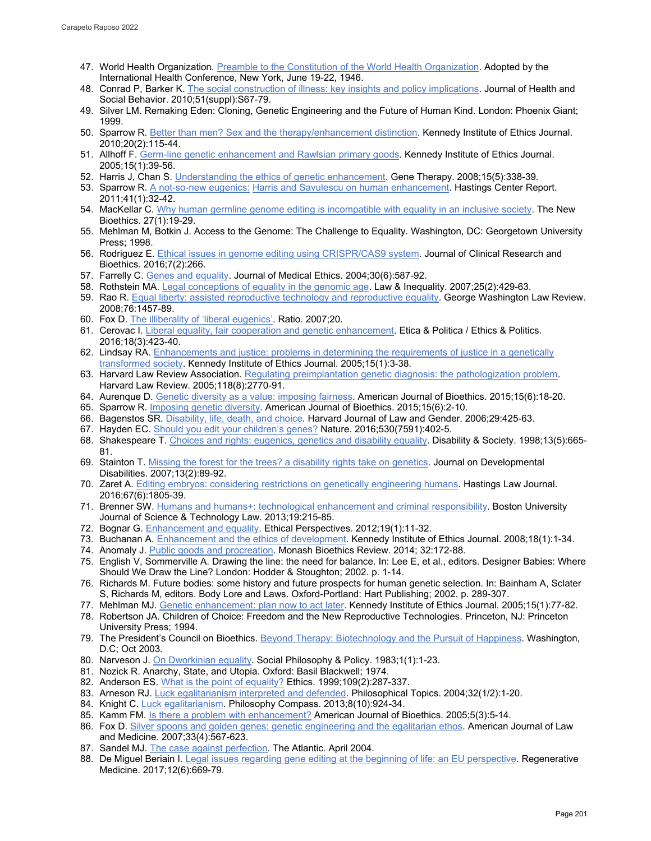- 47. World Health Organization. [Preamble to the Constitution of the World Health Organization.](http://www.who.int/governance/eb/who_constitution_en.pdf) Adopted by the International Health Conference, New York, June 19-22, 1946.
- 48. Conrad P, Barker K[. The social construction of illness: key insights and policy implications.](https://pubmed.ncbi.nlm.nih.gov/20943584/) Journal of Health and Social Behavior. 2010;51(suppl):S67-79.
- 49. Silver LM. Remaking Eden: Cloning, Genetic Engineering and the Future of Human Kind. London: Phoenix Giant; 1999.
- 50. Sparrow R. [Better than men? Sex and the therapy/enhancement distinction.](https://pubmed.ncbi.nlm.nih.gov/20653249/) Kennedy Institute of Ethics Journal. 2010;20(2):115-44.
- 51. Allhoff F[. Germ-line genetic enhancement and Rawlsian primary goods.](https://pubmed.ncbi.nlm.nih.gov/15881795/) Kennedy Institute of Ethics Journal. 2005;15(1):39-56.
- 52. Harris J, Chan S. Understanding the [ethics of genetic enhancement.](https://pubmed.ncbi.nlm.nih.gov/18283288/) Gene Therapy. 2008;15(5):338-39.
- 53. Sparrow R. A not-so-new eugenics: [Harris and Savulescu on human enhancement.](https://www.jstor.org/stable/41058988) Hastings Center Report. 2011;41(1):32-42.
- 54. MacKellar C. [Why human germline genome editing is incompatible with equality in an inclusive society.](https://pubmed.ncbi.nlm.nih.gov/33459206/) The New Bioethics. 27(1):19-29.
- 55. Mehlman M, Botkin J. Access to the Genome: The Challenge to Equality. Washington, DC: Georgetown University Press; 1998.
- 56. Rodriguez E. [Ethical issues in genome editing using](https://philpapers.org/rec/RODEII-2) CRISPR/CAS9 system. Journal of Clinical Research and Bioethics. 2016;7(2):266.
- 57. Farrelly C[. Genes and equality.](https://jme.bmj.com/content/30/6/587) Journal of Medical Ethics. 2004;30(6):587-92.
- 58. Rothstein MA[. Legal conceptions of equality in the genomic age.](https://scholarship.law.umn.edu/cgi/viewcontent.cgi?article=1127&context=lawineq) Law & Inequality. 2007;25(2):429-63.
- 59. Rao R. [Equal liberty: assisted reproductive technology and reproductive equality.](https://repository.uchastings.edu/faculty_scholarship/659/) George Washington Law Review. 2008;76:1457-89.
- 60. Fox D[. The illiberality of 'liberal eugenics'.](https://papers.ssrn.com/sol3/papers.cfm?abstract_id=1072104) Ratio. 2007;20.
- 61. Cerovac I. [Liberal equality, fair cooperation and genetic enhancement.](https://www.openstarts.units.it/handle/10077/13523) Etica & Politica / Ethics & Politics. 2016;18(3):423-40.
- 62. Lindsay RA. Enhancements and justice: problems in determining the requirements of justice in a genetically [transformed society.](https://pubmed.ncbi.nlm.nih.gov/15881599/) Kennedy Institute of Ethics Journal. 2005;15(1):3-38.
- 63. Harvard Law Review Association. [Regulating preimplantation genetic diagnosis: the pathologization problem.](https://pubmed.ncbi.nlm.nih.gov/15988861/) Harvard Law Review. 2005;118(8):2770-91.
- 64. Aurenque D[. Genetic diversity as a value: imposing fairness.](https://www.tandfonline.com/doi/abs/10.1080/15265161.2015.1028673?journalCode=uajb20) American Journal of Bioethics. 2015;15(6):18-20.
- 65. Sparrow R. [Imposing genetic diversity.](https://pubmed.ncbi.nlm.nih.gov/26030484/) American Journal of Bioethics. 2015;15(6):2-10.
- 66. Bagenstos SR. [Disability, life, death, and choice.](https://heinonline.org/HOL/Page?handle=hein.journals/hwlj29&div=15&g_sent=1&casa_token=) Harvard Journal of Law and Gender. 2006;29:425-63.
- 67. Hayden EC. Should you [edit your children's genes?](https://www.nature.com/articles/530402a) Nature. 2016;530(7591):402-5.
- 68. Shakespeare T[. Choices and rights: eugenics, genetics and disability equality.](https://www.tandfonline.com/doi/abs/10.1080/09687599826452) Disability & Society. 1998;13(5):665- 81.
- 69. Stainton T[. Missing the forest for the trees? a disability rights take on genetics.](http://citeseerx.ist.psu.edu/viewdoc/download?doi=10.1.1.516.640&rep=rep1&type=pdf) Journal on Developmental Disabilities. 2007;13(2):89-92.
- 70. Zaret A. [Editing embryos: considering restrictions on genetically engineering humans.](https://repository.uchastings.edu/hastings_law_journal/vol67/iss6/7/) Hastings Law Journal. 2016;67(6):1805-39.
- 71. Brenner SW[. Humans and humans+: technological enhancement and criminal responsibility.](https://papers.ssrn.com/sol3/papers.cfm?abstract_id=2360756) Boston University Journal of Science & Technology Law. 2013;19:215-85.
- 72. Bognar G. **Enhancement and equality. Ethical Perspectives.** 2012;19(1):11-32.
- 73. Buchanan A[. Enhancement and the ethics of development.](https://pubmed.ncbi.nlm.nih.gov/18561576/) Kennedy Institute of Ethics Journal. 2008;18(1):1-34.
- 74. Anomaly J[. Public goods and procreation.](https://dukespace.lib.duke.edu/dspace/bitstream/handle/10161/9731/Anomaly%20-%20Public%20Goods%20and%20Procreation.pdf?sequence=1) Monash Bioethics Review. 2014; 32:172-88.
- 75. English V, Sommerville A. Drawing the line: the need for balance. In: Lee E, et al., editors. Designer Babies: Where Should We Draw the Line? London: Hodder & Stoughton; 2002. p. 1-14.
- 76. Richards M. Future bodies: some history and future prospects for human genetic selection. In: Bainham A, Sclater S, Richards M, editors. Body Lore and Laws. Oxford-Portland: Hart Publishing; 2002. p. 289-307.
- 77. Mehlman MJ. [Genetic enhancement: plan now to act later.](https://pubmed.ncbi.nlm.nih.gov/15881797/) Kennedy Institute of Ethics Journal. 2005;15(1):77-82.
- 78. Robertson JA. Children of Choice: Freedom and the New Reproductive Technologies. Princeton, NJ: Princeton University Press; 1994.
- 79. The President's Council on Bioethics. [Beyond Therapy: Biotechnology and the Pursuit of Happiness.](http://changethis.com/manifesto/9.BeyondTherapy/pdf/9.BeyondTherapy.pdf) Washington, D.C; Oct 2003.
- 80. Narveson J. [On Dworkinian equality.](https://philpapers.org/rec/NARODE) Social Philosophy & Policy. 1983;1(1):1-23.
- 81. Nozick R. Anarchy, State, and Utopia. Oxford: Basil Blackwell; 1974.
- 82. Anderson ES. What is the [point of equality?](https://www.journals.uchicago.edu/doi/10.1086/233897) Ethics. 1999;109(2):287-337.
- 83. Arneson RJ[. Luck egalitarianism interpreted and defended.](https://www.jstor.org/stable/43154426) Philosophical Topics. 2004;32(1/2):1-20.
- 84. Knight C. [Luck egalitarianism.](https://compass.onlinelibrary.wiley.com/doi/abs/10.1111/phc3.12077) Philosophy Compass. 2013;8(10):924-34.
- 85. Kamm FM. [Is there a problem with enhancement?](https://pubmed.ncbi.nlm.nih.gov/16006376/) American Journal of Bioethics. 2005;5(3):5-14.
- 86. Fox D[. Silver spoons and golden genes: genetic engineering and the egalitarian ethos.](https://journals.sagepub.com/doi/abs/10.1177/009885880703300402) American Journal of Law and Medicine. 2007;33(4):567-623.
- 87. Sandel MJ. [The case against perfection.](https://www.theatlantic.com/magazine/archive/2004/04/the-case-against-perfection/302927/) The Atlantic. April 2004.
- 88. De Miguel Beriain I[. Legal issues regarding gene editing at the beginning of life: an EU perspective.](https://pubmed.ncbi.nlm.nih.gov/28976851/) Regenerative Medicine. 2017;12(6):669-79.